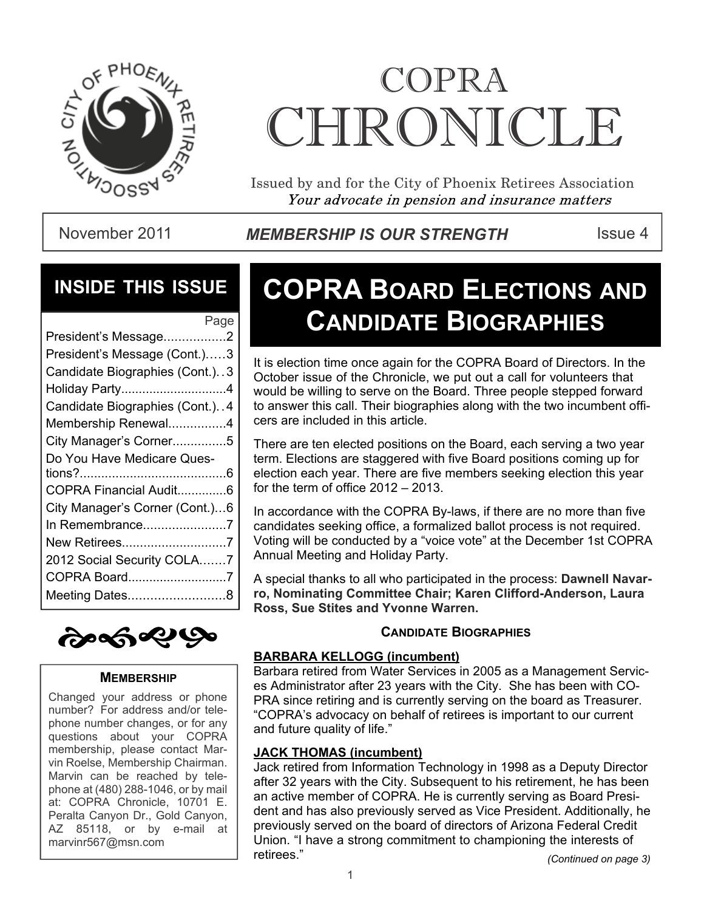

# COPRA CHRONICI.E

Issued by and for the City of Phoenix Retirees Association Your advocate in pension and insurance matters

November 2011 **MEMBERSHIP IS OUR STRENGTH** ISSue 4

### **INSIDE THIS ISSUE**

| Page                           |
|--------------------------------|
| President's Message2           |
| President's Message (Cont.)3   |
| Candidate Biographies (Cont.)3 |
| Holiday Party4                 |
| Candidate Biographies (Cont.)4 |
| Membership Renewal4            |
| City Manager's Corner5         |
| Do You Have Medicare Ques-     |
|                                |
| COPRA Financial Audit6         |
| City Manager's Corner (Cont.)6 |
| In Remembrance7                |
| New Retirees7                  |
| 2012 Social Security COLA7     |
| COPRA Board7                   |
| Meeting Dates8                 |
|                                |



#### **MEMBERSHIP**

Changed your address or phone number? For address and/or telephone number changes, or for any questions about your COPRA membership, please contact Marvin Roelse, Membership Chairman. Marvin can be reached by telephone at (480) 288-1046, or by mail at: COPRA Chronicle, 10701 E. Peralta Canyon Dr., Gold Canyon, AZ 85118, or by e-mail at marvinr567@msn.com

## **COPRA BOARD ELECTIONS AND CANDIDATE BIOGRAPHIES**

It is election time once again for the COPRA Board of Directors. In the October issue of the Chronicle, we put out a call for volunteers that would be willing to serve on the Board. Three people stepped forward to answer this call. Their biographies along with the two incumbent officers are included in this article.

There are ten elected positions on the Board, each serving a two year term. Elections are staggered with five Board positions coming up for election each year. There are five members seeking election this year for the term of office 2012 – 2013.

In accordance with the COPRA By-laws, if there are no more than five candidates seeking office, a formalized ballot process is not required. Voting will be conducted by a "voice vote" at the December 1st COPRA Annual Meeting and Holiday Party.

A special thanks to all who participated in the process: **Dawnell Navarro, Nominating Committee Chair; Karen Clifford-Anderson, Laura Ross, Sue Stites and Yvonne Warren.**

#### **CANDIDATE BIOGRAPHIES**

#### **BARBARA KELLOGG (incumbent)**

Barbara retired from Water Services in 2005 as a Management Services Administrator after 23 years with the City. She has been with CO-PRA since retiring and is currently serving on the board as Treasurer. "COPRA's advocacy on behalf of retirees is important to our current and future quality of life."

#### **JACK THOMAS (incumbent)**

Jack retired from Information Technology in 1998 as a Deputy Director after 32 years with the City. Subsequent to his retirement, he has been an active member of COPRA. He is currently serving as Board President and has also previously served as Vice President. Additionally, he previously served on the board of directors of Arizona Federal Credit Union. "I have a strong commitment to championing the interests of retirees."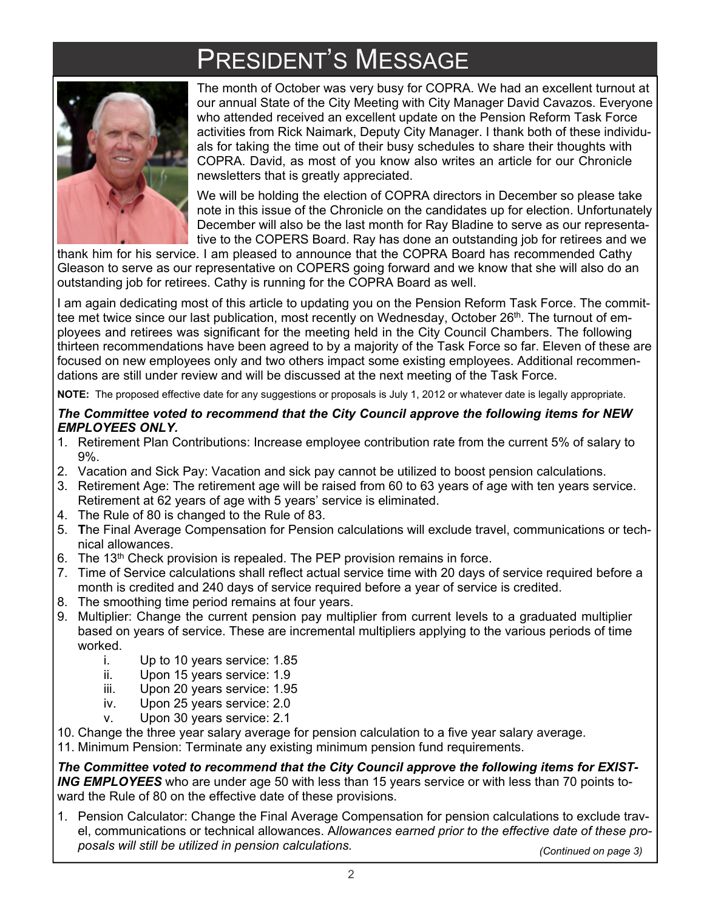## PRESIDENT'S MESSAGE



The month of October was very busy for COPRA. We had an excellent turnout at our annual State of the City Meeting with City Manager David Cavazos. Everyone who attended received an excellent update on the Pension Reform Task Force activities from Rick Naimark, Deputy City Manager. I thank both of these individuals for taking the time out of their busy schedules to share their thoughts with COPRA. David, as most of you know also writes an article for our Chronicle newsletters that is greatly appreciated.

We will be holding the election of COPRA directors in December so please take note in this issue of the Chronicle on the candidates up for election. Unfortunately December will also be the last month for Ray Bladine to serve as our representative to the COPERS Board. Ray has done an outstanding job for retirees and we

thank him for his service. I am pleased to announce that the COPRA Board has recommended Cathy Gleason to serve as our representative on COPERS going forward and we know that she will also do an outstanding job for retirees. Cathy is running for the COPRA Board as well.

I am again dedicating most of this article to updating you on the Pension Reform Task Force. The committee met twice since our last publication, most recently on Wednesday, October 26<sup>th</sup>. The turnout of employees and retirees was significant for the meeting held in the City Council Chambers. The following thirteen recommendations have been agreed to by a majority of the Task Force so far. Eleven of these are focused on new employees only and two others impact some existing employees. Additional recommendations are still under review and will be discussed at the next meeting of the Task Force.

**NOTE:** The proposed effective date for any suggestions or proposals is July 1, 2012 or whatever date is legally appropriate.

#### *The Committee voted to recommend that the City Council approve the following items for NEW EMPLOYEES ONLY.*

- 1. Retirement Plan Contributions: Increase employee contribution rate from the current 5% of salary to 9%.
- 2. Vacation and Sick Pay: Vacation and sick pay cannot be utilized to boost pension calculations.
- 3. Retirement Age: The retirement age will be raised from 60 to 63 years of age with ten years service. Retirement at 62 years of age with 5 years' service is eliminated.
- 4. The Rule of 80 is changed to the Rule of 83.
- 5. **T**he Final Average Compensation for Pension calculations will exclude travel, communications or technical allowances.
- 6. The  $13<sup>th</sup>$  Check provision is repealed. The PEP provision remains in force.
- 7. Time of Service calculations shall reflect actual service time with 20 days of service required before a month is credited and 240 days of service required before a year of service is credited.
- 8. The smoothing time period remains at four years.
- 9. Multiplier: Change the current pension pay multiplier from current levels to a graduated multiplier based on years of service. These are incremental multipliers applying to the various periods of time worked.
	- i. Up to 10 years service: 1.85
	- ii. Upon 15 years service: 1.9
	- iii. Upon 20 years service: 1.95
	- iv. Upon 25 years service: 2.0
	- v. Upon 30 years service: 2.1
- 10. Change the three year salary average for pension calculation to a five year salary average.
- 11. Minimum Pension: Terminate any existing minimum pension fund requirements.

*The Committee voted to recommend that the City Council approve the following items for EXIST-ING EMPLOYEES* who are under age 50 with less than 15 years service or with less than 70 points toward the Rule of 80 on the effective date of these provisions.

1. Pension Calculator: Change the Final Average Compensation for pension calculations to exclude travel, communications or technical allowances. A*llowances earned prior to the effective date of these proposals will still be utilized in pension calculations.*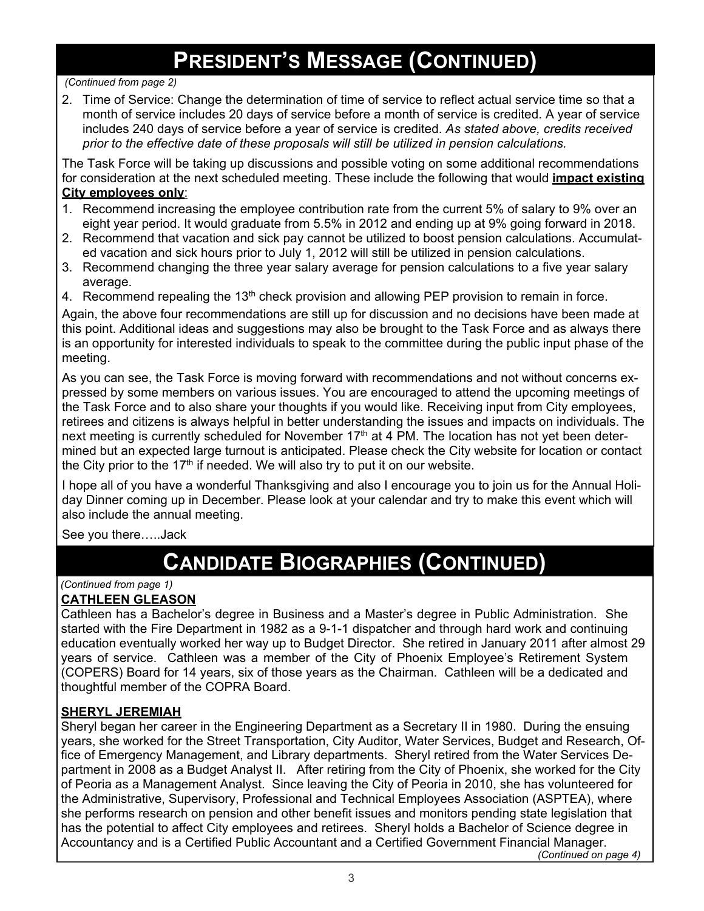### **PRESIDENT'S MESSAGE (CONTINUED)**

#### *(Continued from page 2)*

2. Time of Service: Change the determination of time of service to reflect actual service time so that a month of service includes 20 days of service before a month of service is credited. A year of service includes 240 days of service before a year of service is credited. *As stated above, credits received prior to the effective date of these proposals will still be utilized in pension calculations.*

The Task Force will be taking up discussions and possible voting on some additional recommendations for consideration at the next scheduled meeting. These include the following that would **impact existing City employees only**:

- 1. Recommend increasing the employee contribution rate from the current 5% of salary to 9% over an eight year period. It would graduate from 5.5% in 2012 and ending up at 9% going forward in 2018.
- 2. Recommend that vacation and sick pay cannot be utilized to boost pension calculations. Accumulated vacation and sick hours prior to July 1, 2012 will still be utilized in pension calculations.
- 3. Recommend changing the three year salary average for pension calculations to a five year salary average.
- 4. Recommend repealing the 13<sup>th</sup> check provision and allowing PEP provision to remain in force.

Again, the above four recommendations are still up for discussion and no decisions have been made at this point. Additional ideas and suggestions may also be brought to the Task Force and as always there is an opportunity for interested individuals to speak to the committee during the public input phase of the meeting.

As you can see, the Task Force is moving forward with recommendations and not without concerns expressed by some members on various issues. You are encouraged to attend the upcoming meetings of the Task Force and to also share your thoughts if you would like. Receiving input from City employees, retirees and citizens is always helpful in better understanding the issues and impacts on individuals. The next meeting is currently scheduled for November 17<sup>th</sup> at 4 PM. The location has not yet been determined but an expected large turnout is anticipated. Please check the City website for location or contact the City prior to the  $17<sup>th</sup>$  if needed. We will also try to put it on our website.

I hope all of you have a wonderful Thanksgiving and also I encourage you to join us for the Annual Holiday Dinner coming up in December. Please look at your calendar and try to make this event which will also include the annual meeting.

See you there…..Jack

### **CANDIDATE BIOGRAPHIES (CONTINUED)**

### *(Continued from page 1)*

#### **CATHLEEN GLEASON**

Cathleen has a Bachelor's degree in Business and a Master's degree in Public Administration. She started with the Fire Department in 1982 as a 9-1-1 dispatcher and through hard work and continuing education eventually worked her way up to Budget Director. She retired in January 2011 after almost 29 years of service. Cathleen was a member of the City of Phoenix Employee's Retirement System (COPERS) Board for 14 years, six of those years as the Chairman. Cathleen will be a dedicated and thoughtful member of the COPRA Board.

#### **SHERYL JEREMIAH**

Sheryl began her career in the Engineering Department as a Secretary II in 1980. During the ensuing years, she worked for the Street Transportation, City Auditor, Water Services, Budget and Research, Office of Emergency Management, and Library departments. Sheryl retired from the Water Services Department in 2008 as a Budget Analyst II. After retiring from the City of Phoenix, she worked for the City of Peoria as a Management Analyst. Since leaving the City of Peoria in 2010, she has volunteered for the Administrative, Supervisory, Professional and Technical Employees Association (ASPTEA), where she performs research on pension and other benefit issues and monitors pending state legislation that has the potential to affect City employees and retirees. Sheryl holds a Bachelor of Science degree in Accountancy and is a Certified Public Accountant and a Certified Government Financial Manager.

*(Continued on page 4)*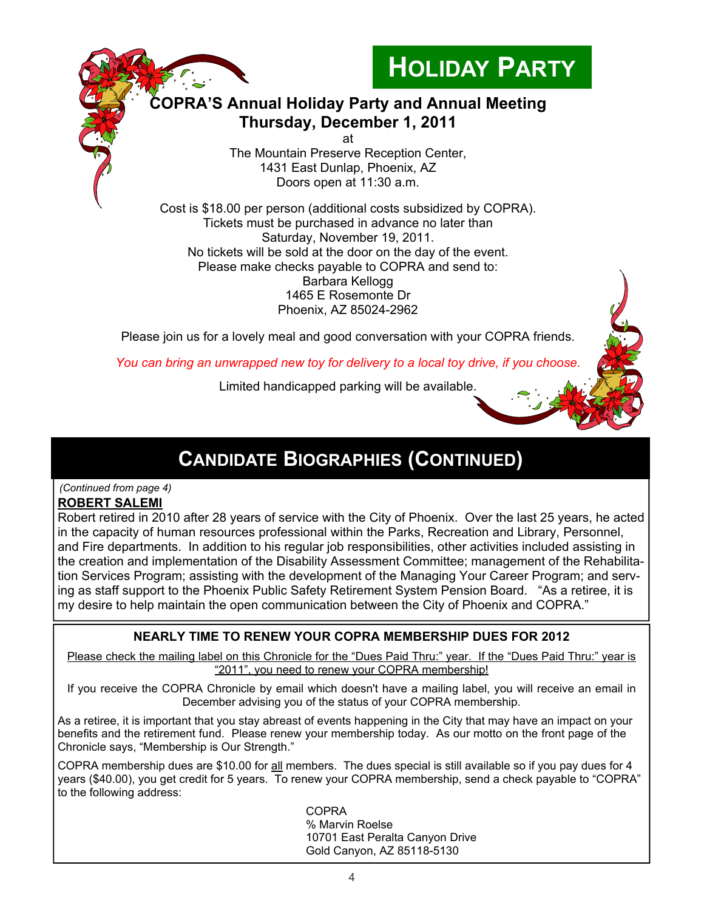

Tickets must be purchased in advance no later than Saturday, November 19, 2011. No tickets will be sold at the door on the day of the event. Please make checks payable to COPRA and send to: Barbara Kellogg 1465 E Rosemonte Dr Phoenix, AZ 85024-2962

Please join us for a lovely meal and good conversation with your COPRA friends.

*You can bring an unwrapped new toy for delivery to a local toy drive, if you choose.*

Limited handicapped parking will be available.

### **CANDIDATE BIOGRAPHIES (CONTINUED)**

#### **ROBERT SALEMI**  *(Continued from page 4)*

Robert retired in 2010 after 28 years of service with the City of Phoenix. Over the last 25 years, he acted in the capacity of human resources professional within the Parks, Recreation and Library, Personnel, and Fire departments. In addition to his regular job responsibilities, other activities included assisting in the creation and implementation of the Disability Assessment Committee; management of the Rehabilitation Services Program; assisting with the development of the Managing Your Career Program; and serving as staff support to the Phoenix Public Safety Retirement System Pension Board. "As a retiree, it is my desire to help maintain the open communication between the City of Phoenix and COPRA."

#### **NEARLY TIME TO RENEW YOUR COPRA MEMBERSHIP DUES FOR 2012**

Please check the mailing label on this Chronicle for the "Dues Paid Thru:" year. If the "Dues Paid Thru:" year is "2011", you need to renew your COPRA membership!

If you receive the COPRA Chronicle by email which doesn't have a mailing label, you will receive an email in December advising you of the status of your COPRA membership.

As a retiree, it is important that you stay abreast of events happening in the City that may have an impact on your benefits and the retirement fund. Please renew your membership today. As our motto on the front page of the Chronicle says, "Membership is Our Strength."

COPRA membership dues are \$10.00 for all members. The dues special is still available so if you pay dues for 4 years (\$40.00), you get credit for 5 years. To renew your COPRA membership, send a check payable to "COPRA" to the following address:

> COPRA % Marvin Roelse 10701 East Peralta Canyon Drive Gold Canyon, AZ 85118-5130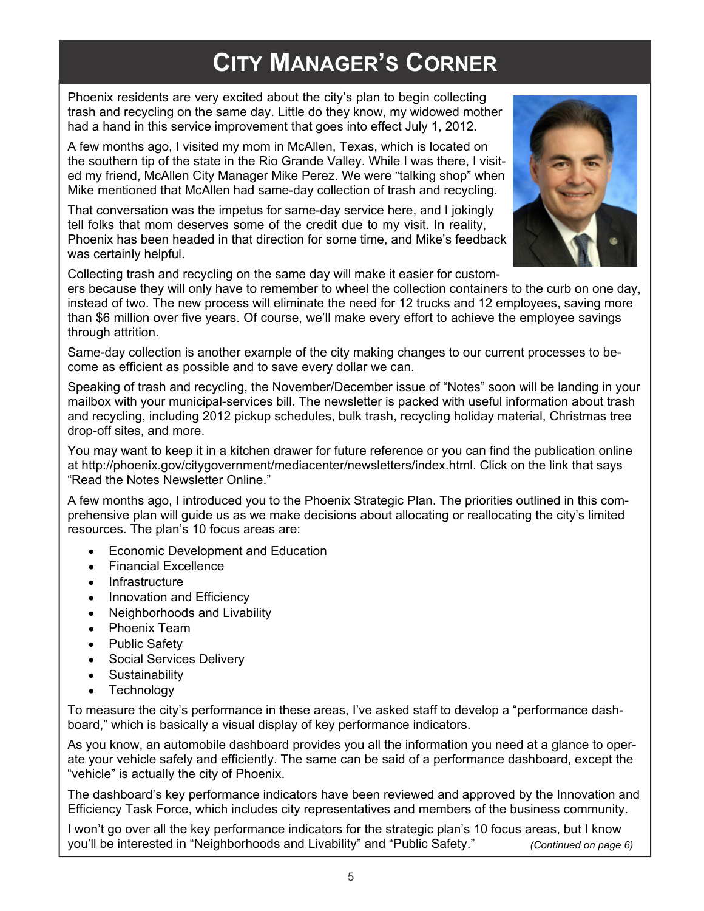### **CITY MANAGER'S CORNER**

Phoenix residents are very excited about the city's plan to begin collecting trash and recycling on the same day. Little do they know, my widowed mother had a hand in this service improvement that goes into effect July 1, 2012.

A few months ago, I visited my mom in McAllen, Texas, which is located on the southern tip of the state in the Rio Grande Valley. While I was there, I visited my friend, McAllen City Manager Mike Perez. We were "talking shop" when Mike mentioned that McAllen had same-day collection of trash and recycling.

That conversation was the impetus for same-day service here, and I jokingly tell folks that mom deserves some of the credit due to my visit. In reality, Phoenix has been headed in that direction for some time, and Mike's feedback was certainly helpful.



Collecting trash and recycling on the same day will make it easier for custom-

ers because they will only have to remember to wheel the collection containers to the curb on one day, instead of two. The new process will eliminate the need for 12 trucks and 12 employees, saving more than \$6 million over five years. Of course, we'll make every effort to achieve the employee savings through attrition.

Same-day collection is another example of the city making changes to our current processes to become as efficient as possible and to save every dollar we can.

Speaking of trash and recycling, the November/December issue of "Notes" soon will be landing in your mailbox with your municipal-services bill. The newsletter is packed with useful information about trash and recycling, including 2012 pickup schedules, bulk trash, recycling holiday material, Christmas tree drop-off sites, and more.

You may want to keep it in a kitchen drawer for future reference or you can find the publication online at http://phoenix.gov/citygovernment/mediacenter/newsletters/index.html. Click on the link that says "Read the Notes Newsletter Online."

A few months ago, I introduced you to the Phoenix Strategic Plan. The priorities outlined in this comprehensive plan will guide us as we make decisions about allocating or reallocating the city's limited resources. The plan's 10 focus areas are:

- Economic Development and Education  $\bullet$
- Financial Excellence  $\bullet$
- Infrastructure  $\bullet$
- Innovation and Efficiency  $\bullet$
- $\bullet$ Neighborhoods and Livability
- Phoenix Team
- Public Safety
- Social Services Delivery  $\bullet$
- **Sustainability**  $\bullet$
- Technology

To measure the city's performance in these areas, I've asked staff to develop a "performance dashboard," which is basically a visual display of key performance indicators.

As you know, an automobile dashboard provides you all the information you need at a glance to operate your vehicle safely and efficiently. The same can be said of a performance dashboard, except the "vehicle" is actually the city of Phoenix.

The dashboard's key performance indicators have been reviewed and approved by the Innovation and Efficiency Task Force, which includes city representatives and members of the business community.

I won't go over all the key performance indicators for the strategic plan's 10 focus areas, but I know you'll be interested in "Neighborhoods and Livability" and "Public Safety."  *(Continued on page 6)*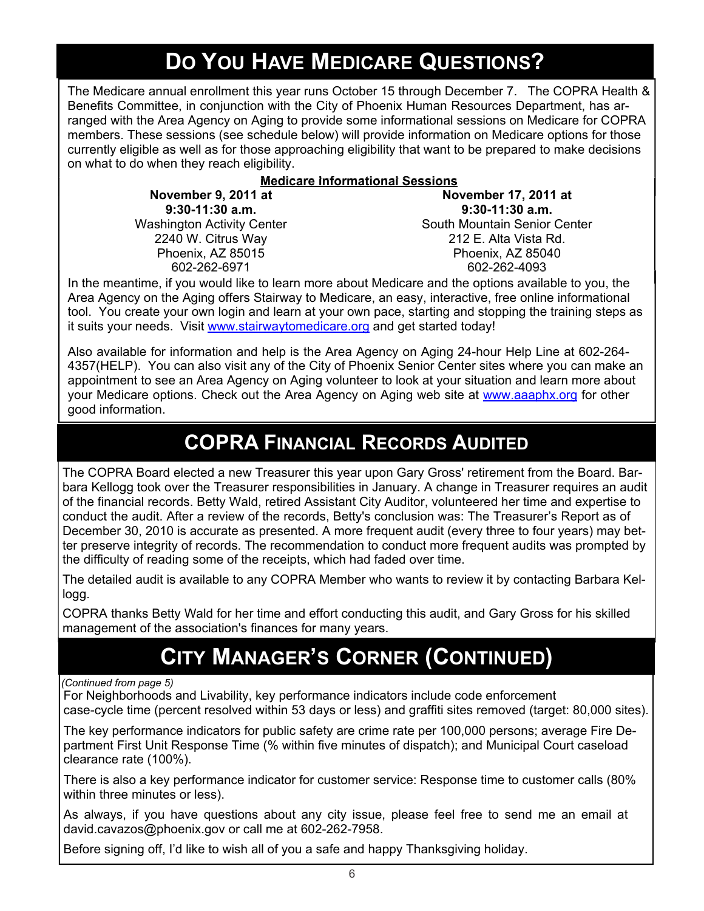### **DO YOU HAVE MEDICARE QUESTIONS?**

The Medicare annual enrollment this year runs October 15 through December 7. The COPRA Health & Benefits Committee, in conjunction with the City of Phoenix Human Resources Department, has arranged with the Area Agency on Aging to provide some informational sessions on Medicare for COPRA members. These sessions (see schedule below) will provide information on Medicare options for those currently eligible as well as for those approaching eligibility that want to be prepared to make decisions on what to do when they reach eligibility.

#### **Medicare Informational Sessions**

**November 9, 2011 at 9:30-11:30 a.m.** Washington Activity Center 2240 W. Citrus Way Phoenix, AZ 85015 602-262-6971

**November 17, 2011 at 9:30-11:30 a.m.** South Mountain Senior Center 212 E. Alta Vista Rd. Phoenix, AZ 85040 602-262-4093

In the meantime, if you would like to learn more about Medicare and the options available to you, the Area Agency on the Aging offers Stairway to Medicare, an easy, interactive, free online informational tool. You create your own login and learn at your own pace, starting and stopping the training steps as it suits your needs. Visit www.stairwaytomedicare.org and get started today!

Also available for information and help is the Area Agency on Aging 24-hour Help Line at 602-264- 4357(HELP). You can also visit any of the City of Phoenix Senior Center sites where you can make an appointment to see an Area Agency on Aging volunteer to look at your situation and learn more about your Medicare options. Check out the Area Agency on Aging web site at www.aaaphx.org for other good information.

### **COPRA FINANCIAL RECORDS AUDITED**

The COPRA Board elected a new Treasurer this year upon Gary Gross' retirement from the Board. Barbara Kellogg took over the Treasurer responsibilities in January. A change in Treasurer requires an audit of the financial records. Betty Wald, retired Assistant City Auditor, volunteered her time and expertise to conduct the audit. After a review of the records, Betty's conclusion was: The Treasurer's Report as of December 30, 2010 is accurate as presented. A more frequent audit (every three to four years) may better preserve integrity of records. The recommendation to conduct more frequent audits was prompted by the difficulty of reading some of the receipts, which had faded over time.

The detailed audit is available to any COPRA Member who wants to review it by contacting Barbara Kellogg.

COPRA thanks Betty Wald for her time and effort conducting this audit, and Gary Gross for his skilled management of the association's finances for many years.

### **CITY MANAGER'S CORNER (CONTINUED)**

#### *(Continued from page 5)*

For Neighborhoods and Livability, key performance indicators include code enforcement case-cycle time (percent resolved within 53 days or less) and graffiti sites removed (target: 80,000 sites).

The key performance indicators for public safety are crime rate per 100,000 persons; average Fire Department First Unit Response Time (% within five minutes of dispatch); and Municipal Court caseload clearance rate (100%).

There is also a key performance indicator for customer service: Response time to customer calls (80% within three minutes or less).

As always, if you have questions about any city issue, please feel free to send me an email at david.cavazos@phoenix.gov or call me at 602-262-7958.

Before signing off, I'd like to wish all of you a safe and happy Thanksgiving holiday.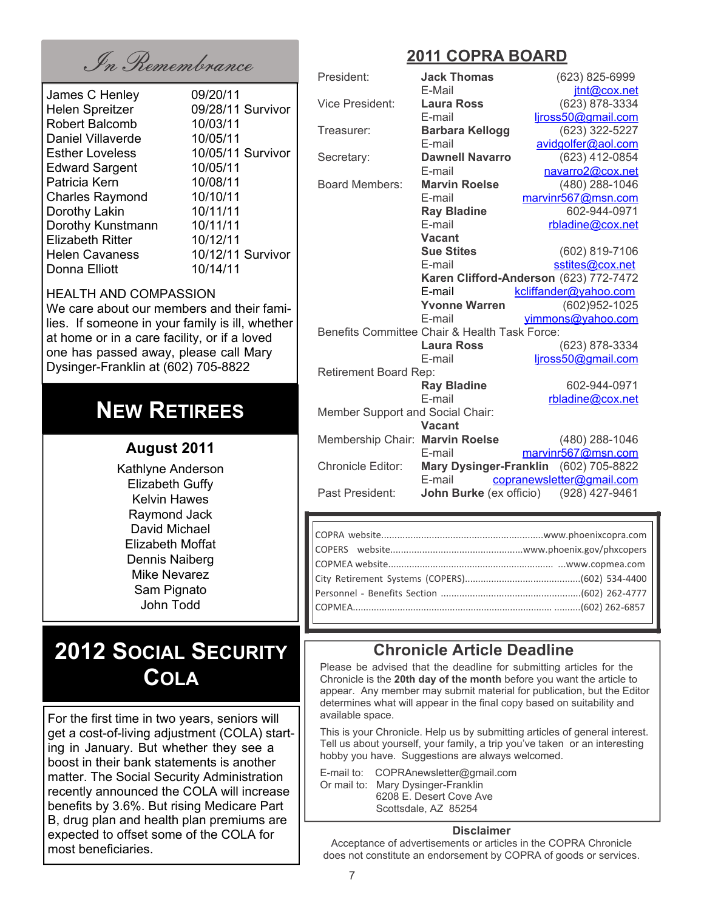In Remembrance **2011 COPRA BOARD**

| James C Henley          | 09/20/11          |
|-------------------------|-------------------|
| <b>Helen Spreitzer</b>  | 09/28/11 Survivor |
| <b>Robert Balcomb</b>   | 10/03/11          |
| Daniel Villaverde       | 10/05/11          |
| <b>Esther Loveless</b>  | 10/05/11 Survivor |
| <b>Edward Sargent</b>   | 10/05/11          |
| Patricia Kern           | 10/08/11          |
| <b>Charles Raymond</b>  | 10/10/11          |
| Dorothy Lakin           | 10/11/11          |
| Dorothy Kunstmann       | 10/11/11          |
| <b>Elizabeth Ritter</b> | 10/12/11          |
| <b>Helen Cavaness</b>   | 10/12/11 Survivor |
| Donna Elliott           | 10/14/11          |
|                         |                   |

#### HEALTH AND COMPASSION

We care about our members and their families. If someone in your family is ill, whether at home or in a care facility, or if a loved one has passed away, please call Mary Dysinger-Franklin at (602) 705-8822

### **NEW RETIREES**

#### **August 2011**

Kathlyne Anderson Elizabeth Guffy Kelvin Hawes Raymond Jack David Michael Elizabeth Moffat Dennis Naiberg Mike Nevarez Sam Pignato John Todd

### **2012 SOCIAL SECURITY COLA**

For the first time in two years, seniors will get a cost-of-living adjustment (COLA) starting in January. But whether they see a boost in their bank statements is another matter. The Social Security Administration recently announced the COLA will increase benefits by 3.6%. But rising Medicare Part B, drug plan and health plan premiums are expected to offset some of the COLA for most beneficiaries.

| President:                                    | <b>Jack Thomas</b>             | (623) 825-6999                         |  |
|-----------------------------------------------|--------------------------------|----------------------------------------|--|
|                                               | E-Mail                         | jtnt@cox.net                           |  |
| Vice President:                               | <b>Laura Ross</b>              | (623) 878-3334                         |  |
|                                               | E-mail                         | ljross50@gmail.com                     |  |
| Treasurer:                                    | <b>Barbara Kellogg</b>         | (623) 322-5227                         |  |
|                                               | E-mail                         | avidgolfer@aol.com                     |  |
| Secretary:                                    | <b>Dawnell Navarro</b>         | (623) 412-0854                         |  |
|                                               | E-mail                         | navarro2@cox.net                       |  |
| <b>Board Members:</b>                         | <b>Marvin Roelse</b>           | (480) 288-1046                         |  |
|                                               | E-mail                         | marvinr567@msn.com                     |  |
|                                               | <b>Ray Bladine</b>             | 602-944-0971                           |  |
|                                               | E-mail                         | rbladine@cox.net                       |  |
|                                               | <b>Vacant</b>                  |                                        |  |
|                                               | <b>Sue Stites</b>              | (602) 819-7106                         |  |
|                                               | E-mail                         | sstites@cox.net                        |  |
|                                               |                                | Karen Clifford-Anderson (623) 772-7472 |  |
|                                               | E-mail                         | kcliffander@yahoo.com                  |  |
|                                               | <b>Yvonne Warren</b>           | (602)952-1025                          |  |
|                                               | E-mail                         | yimmons@yahoo.com                      |  |
| Benefits Committee Chair & Health Task Force: |                                |                                        |  |
|                                               | <b>Laura Ross</b>              | (623) 878-3334                         |  |
|                                               | E-mail                         | ljross50@gmail.com                     |  |
| Retirement Board Rep:                         |                                |                                        |  |
|                                               | <b>Ray Bladine</b>             | 602-944-0971                           |  |
|                                               | E-mail                         | rbladine@cox.net                       |  |
| Member Support and Social Chair:              |                                |                                        |  |
|                                               | <b>Vacant</b>                  |                                        |  |
| Membership Chair: Marvin Roelse               |                                | (480) 288-1046                         |  |
|                                               | E-mail                         | marvinr567@msn.com                     |  |
| <b>Chronicle Editor:</b>                      | <b>Mary Dysinger-Franklin</b>  | (602) 705-8822                         |  |
|                                               | E-mail                         | copranewsletter@gmail.com              |  |
| Past President:                               | <b>John Burke</b> (ex officio) | (928) 427-9461                         |  |

#### **Chronicle Article Deadline**

Please be advised that the deadline for submitting articles for the Chronicle is the **20th day of the month** before you want the article to appear. Any member may submit material for publication, but the Editor determines what will appear in the final copy based on suitability and available space.

This is your Chronicle. Help us by submitting articles of general interest. Tell us about yourself, your family, a trip you've taken or an interesting hobby you have. Suggestions are always welcomed.

E-mail to: COPRAnewsletter@gmail.com Or mail to: Mary Dysinger-Franklin 6208 E. Desert Cove Ave Scottsdale, AZ 85254

#### **Disclaimer**

Acceptance of advertisements or articles in the COPRA Chronicle does not constitute an endorsement by COPRA of goods or services.